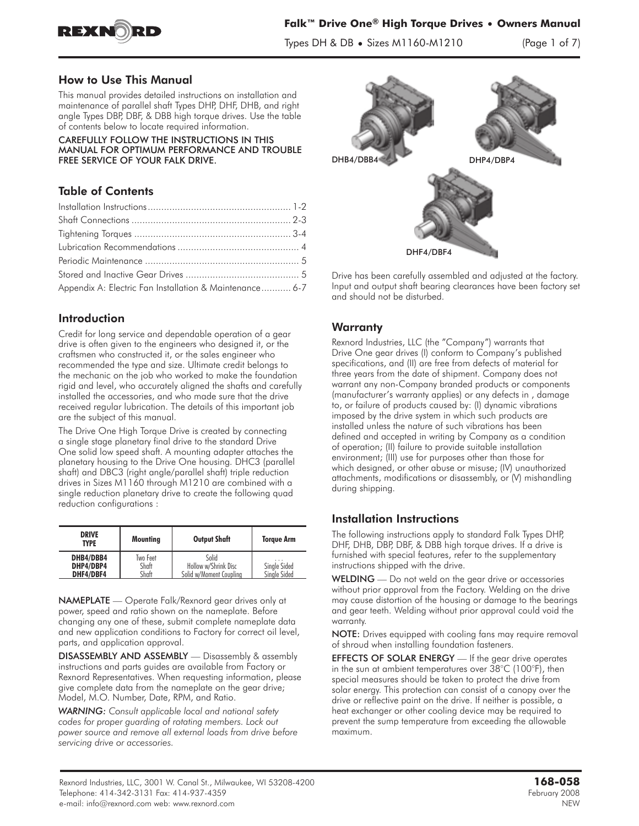

Types DH & DB **•** Sizes M1160-M1210 (Page 1 of 7)

#### How to Use This Manual

This manual provides detailed instructions on installation and maintenance of parallel shaft Types DHP, DHF, DHB, and right angle Types DBP, DBF, & DBB high torque drives. Use the table of contents below to locate required information.

CAREFULLY FOLLOW THE INSTRUCTIONS IN THIS MANUAL FOR OPTIMUM PERFORMANCE AND TROUBLE FREE SERVICE OF YOUR FALK DRIVE.

# Table of Contents

| Appendix A: Electric Fan Installation & Maintenance 6-7 |  |
|---------------------------------------------------------|--|

# Introduction

Credit for long service and dependable operation of a gear drive is often given to the engineers who designed it, or the craftsmen who constructed it, or the sales engineer who recommended the type and size. Ultimate credit belongs to the mechanic on the job who worked to make the foundation rigid and level, who accurately aligned the shafts and carefully installed the accessories, and who made sure that the drive received regular lubrication. The details of this important job are the subject of this manual.

The Drive One High Torque Drive is created by connecting a single stage planetary final drive to the standard Drive One solid low speed shaft. A mounting adapter attaches the planetary housing to the Drive One housing. DHC3 (parallel shaft) and DBC3 (right angle/parallel shaft) triple reduction drives in Sizes M1160 through M1210 are combined with a single reduction planetary drive to create the following quad reduction configurations :

| <b>DRIVE</b><br><b>TYPE</b> | <b>Mounting</b>   | <b>Output Shaft</b>           | <b>Torque Arm</b> |
|-----------------------------|-------------------|-------------------------------|-------------------|
| DHB4/DBB4<br>DHP4/DBP4      | Two Feet<br>Shaft | Solid<br>Hollow w/Shrink Disc | .<br>Single Sided |
| DHF4/DBF4                   | Shaft             | Solid w/Moment Coupling       | Single Sided      |

NAMEPLATE — Operate Falk/Rexnord gear drives only at power, speed and ratio shown on the nameplate. Before changing any one of these, submit complete nameplate data and new application conditions to Factory for correct oil level, parts, and application approval.

DISASSEMBLY AND ASSEMBLY — Disassembly & assembly instructions and parts guides are available from Factory or Rexnord Representatives. When requesting information, please give complete data from the nameplate on the gear drive; Model, M.O. Number, Date, RPM, and Ratio.

*WARNING: Consult applicable local and national safety codes for proper guarding of rotating members. Lock out power source and remove all external loads from drive before servicing drive or accessories.*



Drive has been carefully assembled and adjusted at the factory. Input and output shaft bearing clearances have been factory set and should not be disturbed.

# **Warranty**

Rexnord Industries, LLC (the "Company") warrants that Drive One gear drives (I) conform to Company's published specifications, and (II) are free from defects of material for three years from the date of shipment. Company does not warrant any non-Company branded products or components (manufacturer's warranty applies) or any defects in , damage to, or failure of products caused by: (I) dynamic vibrations imposed by the drive system in which such products are installed unless the nature of such vibrations has been defined and accepted in writing by Company as a condition of operation; (II) failure to provide suitable installation environment; (III) use for purposes other than those for which designed, or other abuse or misuse; (IV) unauthorized attachments, modifications or disassembly, or (V) mishandling during shipping.

## Installation Instructions

The following instructions apply to standard Falk Types DHP, DHF, DHB, DBP, DBF, & DBB high torque drives. If a drive is furnished with special features, refer to the supplementary instructions shipped with the drive.

WELDING - Do not weld on the gear drive or accessories without prior approval from the Factory. Welding on the drive may cause distortion of the housing or damage to the bearings and gear teeth. Welding without prior approval could void the warranty.

NOTE: Drives equipped with cooling fans may require removal of shroud when installing foundation fasteners.

**EFFECTS OF SOLAR ENERGY** — If the gear drive operates in the sun at ambient temperatures over 38°C (100°F), then special measures should be taken to protect the drive from solar energy. This protection can consist of a canopy over the drive or reflective paint on the drive. If neither is possible, a heat exchanger or other cooling device may be required to prevent the sump temperature from exceeding the allowable maximum.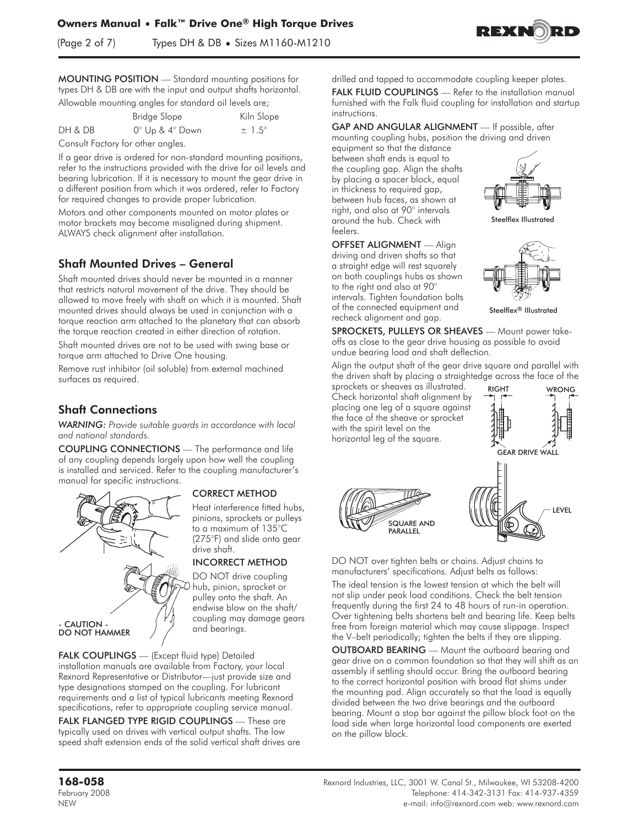(Page 2 of 7) Types DH & DB **•** Sizes M1160-M1210



MOUNTING POSITION — Standard mounting positions for types DH & DB are with the input and output shafts horizontal.

Allowable mounting angles for standard oil levels are;

|         | Bridge Slope                  | Kiln Slope |
|---------|-------------------------------|------------|
| DH & DB | $0^\circ$ Up & $4^\circ$ Down | $\pm$ 1.5° |

Consult Factory for other angles.

If a gear drive is ordered for non-standard mounting positions, refer to the instructions provided with the drive for oil levels and bearing lubrication. If it is necessary to mount the gear drive in a different position from which it was ordered, refer to Factory for required changes to provide proper lubrication.

Motors and other components mounted on motor plates or motor brackets may become misaligned during shipment. ALWAYS check alignment after installation.

# Shaft Mounted Drives – General

Shaft mounted drives should never be mounted in a manner that restricts natural movement of the drive. They should be allowed to move freely with shaft on which it is mounted. Shaft mounted drives should always be used in conjunction with a torque reaction arm attached to the planetary that can absorb the torque reaction created in either direction of rotation.

Shaft mounted drives are not to be used with swing base or torque arm attached to Drive One housing.

Remove rust inhibitor (oil soluble) from external machined surfaces as required.

## Shaft Connections

*WARNING: Provide suitable guards in accordance with local and national standards.*

COUPLING CONNECTIONS — The performance and life of any coupling depends largely upon how well the coupling is installed and serviced. Refer to the coupling manufacturer's manual for specific instructions.



#### CORRECT METHOD

Heat interference fitted hubs, pinions, sprockets or pulleys to a maximum of 135°C (275°F) and slide onto gear drive shaft.

#### INCORRECT METHOD

DO NOT drive coupling hub, pinion, sprocket or pulley onto the shaft. An endwise blow on the shaft/ coupling may damage gears and bearings.

FALK COUPLINGS - (Except fluid type) Detailed installation manuals are available from Factory, your local Rexnord Representative or Distributor—just provide size and type designations stamped on the coupling. For lubricant requirements and a list of typical lubricants meeting Rexnord specifications, refer to appropriate coupling service manual.

FALK FLANGED TYPE RIGID COUPLINGS - These are typically used on drives with vertical output shafts. The low speed shaft extension ends of the solid vertical shaft drives are drilled and tapped to accommodate coupling keeper plates.

FALK FLUID COUPLINGS - Refer to the installation manual furnished with the Falk fluid coupling for installation and startup instructions.

GAP AND ANGULAR ALIGNMENT — If possible, after mounting coupling hubs, position the driving and driven

equipment so that the distance between shaft ends is equal to the coupling gap. Align the shafts by placing a spacer block, equal in thickness to required gap, between hub faces, as shown at right, and also at 90° intervals around the hub. Check with feelers.



Steelflex Illustrated

OFFSET ALIGNMENT — Align driving and driven shafts so that a straight edge will rest squarely on both couplings hubs as shown to the right and also at 90° intervals. Tighten foundation bolts of the connected equipment and recheck alignment and gap.



Steelflex® Illustrated

SPROCKETS, PULLEYS OR SHEAVES - Mount power takeoffs as close to the gear drive housing as possible to avoid undue bearing load and shaft deflection.

Align the output shaft of the gear drive square and parallel with the driven shaft by placing a straightedge across the face of the

sprockets or sheaves as illustrated. Check horizontal shaft alignment by placing one leg of a square against the face of the sheave or sprocket with the spirit level on the horizontal leg of the square.





DO NOT over tighten belts or chains. Adjust chains to manufacturers' specifications. Adjust belts as follows:

The ideal tension is the lowest tension at which the belt will not slip under peak load conditions. Check the belt tension frequently during the first 24 to 48 hours of run-in operation. Over tightening belts shortens belt and bearing life. Keep belts free from foreign material which may cause slippage. Inspect the V–belt periodically; tighten the belts if they are slipping.

OUTBOARD BEARING — Mount the outboard bearing and gear drive on a common foundation so that they will shift as an assembly if settling should occur. Bring the outboard bearing to the correct horizontal position with broad flat shims under the mounting pad. Align accurately so that the load is equally divided between the two drive bearings and the outboard bearing. Mount a stop bar against the pillow block foot on the load side when large horizontal load components are exerted on the pillow block.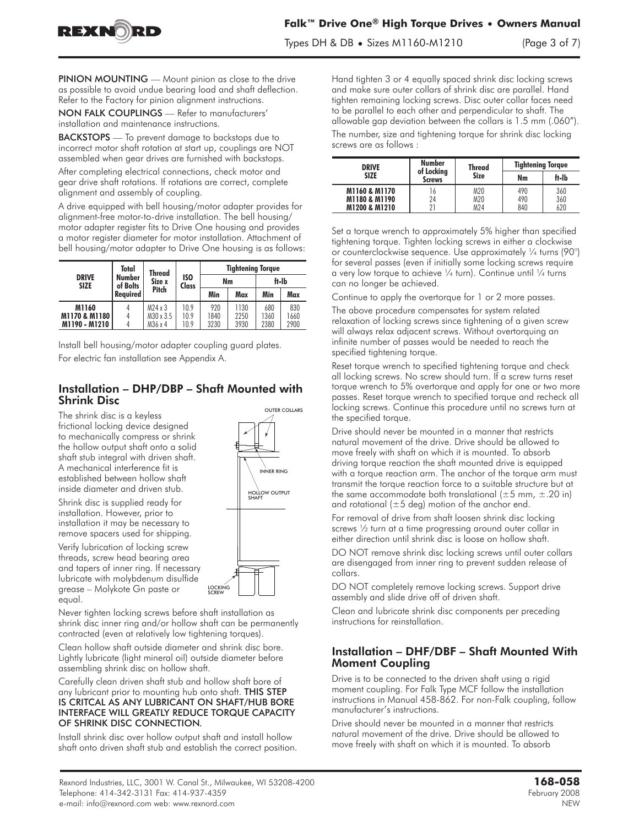

PINION MOUNTING — Mount pinion as close to the drive as possible to avoid undue bearing load and shaft deflection. Refer to the Factory for pinion alignment instructions.

NON FALK COUPLINGS — Refer to manufacturers' installation and maintenance instructions.

**BACKSTOPS** - To prevent damage to backstops due to incorrect motor shaft rotation at start up, couplings are NOT assembled when gear drives are furnished with backstops.

After completing electrical connections, check motor and gear drive shaft rotations. If rotations are correct, complete alignment and assembly of coupling.

A drive equipped with bell housing/motor adapter provides for alignment-free motor-to-drive installation. The bell housing/ motor adapter register fits to Drive One housing and provides a motor register diameter for motor installation. Attachment of bell housing/motor adapter to Drive One housing is as follows:

|                                     | Total              | <b>Thread</b>               |                          |             | <b>Tightening Torgue</b> |             |             |
|-------------------------------------|--------------------|-----------------------------|--------------------------|-------------|--------------------------|-------------|-------------|
| <b>DRIVE</b><br><b>SIZE</b>         | Number<br>of Bolts | Size x                      | <b>ISO</b><br>Class      | Nm          |                          |             | ft-lb       |
| Pitch<br>Reavired                   |                    |                             | Min<br>Max<br>Min<br>Max |             |                          |             |             |
| M1160<br><b>M1170 &amp; M1180  </b> |                    | $M24 \times 3$<br>M30 x 3.5 | 10.9<br>10.9             | 920<br>1840 | 1130<br>2250             | 680<br>1360 | 830<br>1660 |
| M1190 - M1210                       |                    | M36 x 4                     | 10.9                     | 3230        | 3930                     | 2380        | 2900        |

Install bell housing/motor adapter coupling guard plates. For electric fan installation see Appendix A.

#### Installation – Dhp/Dbp – Shaft Mounted with Shrink Disc

The shrink disc is a keyless frictional locking device designed to mechanically compress or shrink the hollow output shaft onto a solid shaft stub integral with driven shaft. A mechanical interference fit is established between hollow shaft inside diameter and driven stub.

Shrink disc is supplied ready for installation. However, prior to installation it may be necessary to remove spacers used for shipping.

Verify lubrication of locking screw threads, screw head bearing area and tapers of inner ring. If necessary lubricate with molybdenum disulfide grease – Molykote Gn paste or equal.



Clean hollow shaft outside diameter and shrink disc bore. Lightly lubricate (light mineral oil) outside diameter before assembling shrink disc on hollow shaft.

#### Carefully clean driven shaft stub and hollow shaft bore of any lubricant prior to mounting hub onto shaft. THIS STEP IS CRITCAL AS ANY LUBRICANT ON SHAFT/HUB BORE INTERFACE WILL GREATLY REDUCE TORQUE CAPACITY OF SHRINK DISC CONNECTION.

Install shrink disc over hollow output shaft and install hollow shaft onto driven shaft stub and establish the correct position. Hand tighten 3 or 4 equally spaced shrink disc locking screws and make sure outer collars of shrink disc are parallel. Hand tighten remaining locking screws. Disc outer collar faces need to be parallel to each other and perpendicular to shaft. The allowable gap deviation between the collars is 1.5 mm (.060").

The number, size and tightening torque for shrink disc locking screws are as follows :

| <b>DRIVE</b>             | <b>Number</b><br><b>Thread</b><br>of Locking |             | <b>Tightening Torque</b> |       |
|--------------------------|----------------------------------------------|-------------|--------------------------|-------|
| <b>SIZE</b>              | <b>Screws</b>                                | <b>Size</b> | Nm                       | ft-lb |
| M1160 & M1170            | 16                                           | M20         | 490                      | 360   |
| M1180 & M1190            | 24                                           | M20         | 490                      | 360   |
| <b>M1200 &amp; M1210</b> | 21                                           | M24         | 840                      | 620   |

Set a torque wrench to approximately 5% higher than specified tightening torque. Tighten locking screws in either a clockwise or counterclockwise sequence. Use approximately ¼ turns (90°) for several passes (even if initially some locking screws require a very low torque to achieve  $\frac{1}{4}$  turn). Continue until  $\frac{1}{4}$  turns can no longer be achieved.

Continue to apply the overtorque for 1 or 2 more passes.

The above procedure compensates for system related relaxation of locking screws since tightening of a given screw will always relax adjacent screws. Without overtorquing an infinite number of passes would be needed to reach the specified tightening torque.

Reset torque wrench to specified tightening torque and check all locking screws. No screw should turn. If a screw turns reset torque wrench to 5% overtorque and apply for one or two more passes. Reset torque wrench to specified torque and recheck all locking screws. Continue this procedure until no screws turn at the specified torque.

Drive should never be mounted in a manner that restricts natural movement of the drive. Drive should be allowed to move freely with shaft on which it is mounted. To absorb driving torque reaction the shaft mounted drive is equipped with a torque reaction arm. The anchor of the torque arm must transmit the torque reaction force to a suitable structure but at the same accommodate both translational  $(\pm 5$  mm,  $\pm .20$  in) and rotational  $(\pm 5$  deg) motion of the anchor end.

For removal of drive from shaft loosen shrink disc locking screws ½ turn at a time progressing around outer collar in either direction until shrink disc is loose on hollow shaft.

DO NOT remove shrink disc locking screws until outer collars are disengaged from inner ring to prevent sudden release of collars.

DO NOT completely remove locking screws. Support drive assembly and slide drive off of driven shaft.

Clean and lubricate shrink disc components per preceding instructions for reinstallation.

#### Installation – DHF/DBF – Shaft Mounted With Moment Coupling

Drive is to be connected to the driven shaft using a rigid moment coupling. For Falk Type MCF follow the installation instructions in Manual 458-862. For non-Falk coupling, follow manufacturer's instructions.

Drive should never be mounted in a manner that restricts natural movement of the drive. Drive should be allowed to move freely with shaft on which it is mounted. To absorb

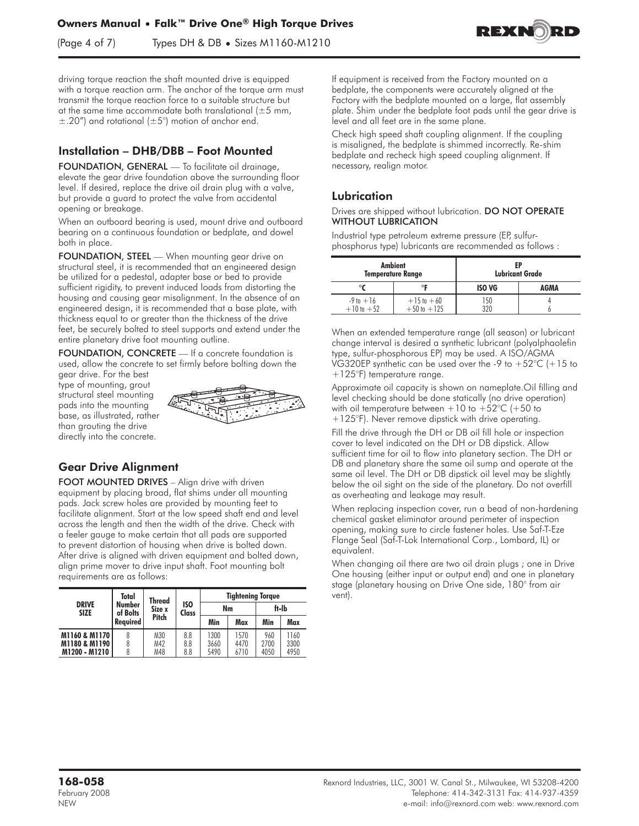(Page 4 of 7) Types DH & DB **•** Sizes M1160-M1210



driving torque reaction the shaft mounted drive is equipped with a torque reaction arm. The anchor of the torque arm must transmit the torque reaction force to a suitable structure but at the same time accommodate both translational ( $\pm 5$  mm,  $\pm$ .20") and rotational ( $\pm$ 5°) motion of anchor end.

## Installation – DHB/DBB – Foot Mounted

FOUNDATION, GENERAL - To facilitate oil drainage, elevate the gear drive foundation above the surrounding floor level. If desired, replace the drive oil drain plug with a valve, but provide a guard to protect the valve from accidental opening or breakage.

When an outboard bearing is used, mount drive and outboard bearing on a continuous foundation or bedplate, and dowel both in place.

FOUNDATION, STEEL — When mounting gear drive on structural steel, it is recommended that an engineered design be utilized for a pedestal, adapter base or bed to provide sufficient rigidity, to prevent induced loads from distorting the housing and causing gear misalignment. In the absence of an engineered design, it is recommended that a base plate, with thickness equal to or greater than the thickness of the drive feet, be securely bolted to steel supports and extend under the entire planetary drive foot mounting outline.

FOUNDATION, CONCRETE - If a concrete foundation is used, allow the concrete to set firmly before bolting down the

gear drive. For the best type of mounting, grout structural steel mounting pads into the mounting base, as illustrated, rather than grouting the drive directly into the concrete.



# Gear Drive Alignment

FOOT MOUNTED DRIVES - Align drive with driven equipment by placing broad, flat shims under all mounting pads. Jack screw holes are provided by mounting feet to facilitate alignment. Start at the low speed shaft end and level across the length and then the width of the drive. Check with a feeler gauge to make certain that all pads are supported to prevent distortion of housing when drive is bolted down. After drive is aligned with driven equipment and bolted down, align prime mover to drive input shaft. Foot mounting bolt requirements are as follows:

|                             | Total              | <b>Thread</b> |                     | <b>Tightening Torque</b> |      |      |       |
|-----------------------------|--------------------|---------------|---------------------|--------------------------|------|------|-------|
| <b>DRIVE</b><br><b>SIZE</b> | Number<br>of Bolts | Size x        | <b>ISO</b><br>Class | Nm                       |      |      | ft-lb |
|                             | Reavired           | Pitch         |                     | Min                      | Max  | Min  | Max   |
| <b>M1160 &amp; M1170  </b>  |                    | M30           | 8.8                 | 1300                     | 1570 | 960  | 1160  |
| M1180 & M1190 I             |                    | M42           | 8.8                 | 3660                     | 4470 | 2700 | 3300  |
| M1200 - M1210               |                    | M48           | 8.8                 | 5490                     | 6710 | 4050 | 4950  |

If equipment is received from the Factory mounted on a bedplate, the components were accurately aligned at the Factory with the bedplate mounted on a large, flat assembly plate. Shim under the bedplate foot pads until the gear drive is level and all feet are in the same plane.

Check high speed shaft coupling alignment. If the coupling is misaligned, the bedplate is shimmed incorrectly. Re-shim bedplate and recheck high speed coupling alignment. If necessary, realign motor.

## Lubrication

#### Drives are shipped without lubrication. DO NOT OPERATE WITHOUT LUBRICATION

Industrial type petroleum extreme pressure (EP, sulfurphosphorus type) lubricants are recommended as follows :

| Ambient<br><b>Temperature Range</b> |                                   | FP<br><b>Lubricant Grade</b> |             |
|-------------------------------------|-----------------------------------|------------------------------|-------------|
|                                     | ᅂ                                 | <b>ISO VG</b>                | <b>AGMA</b> |
| $-9$ to $+16$<br>$+10$ to $+52$     | $+15$ to $+60$<br>$+50$ to $+125$ | 150<br>320                   |             |

When an extended temperature range (all season) or lubricant change interval is desired a synthetic lubricant (polyalphaolefin type, sulfur-phosphorous EP) may be used. A ISO/AGMA VG320EP synthetic can be used over the -9 to  $+52^{\circ}C$  (+15 to +125°F) temperature range.

Approximate oil capacity is shown on nameplate.Oil filling and level checking should be done statically (no drive operation) with oil temperature between  $+10$  to  $+52^{\circ}$ C (+50 to +125°F). Never remove dipstick with drive operating.

Fill the drive through the DH or DB oil fill hole or inspection cover to level indicated on the DH or DB dipstick. Allow sufficient time for oil to flow into planetary section. The DH or DB and planetary share the same oil sump and operate at the same oil level. The DH or DB dipstick oil level may be slightly below the oil sight on the side of the planetary. Do not overfill as overheating and leakage may result.

When replacing inspection cover, run a bead of non-hardening chemical gasket eliminator around perimeter of inspection opening, making sure to circle fastener holes. Use Saf-T-Eze Flange Seal (Saf-T-Lok International Corp., Lombard, IL) or equivalent.

When changing oil there are two oil drain plugs ; one in Drive One housing (either input or output end) and one in planetary stage (planetary housing on Drive One side, 180° from air vent).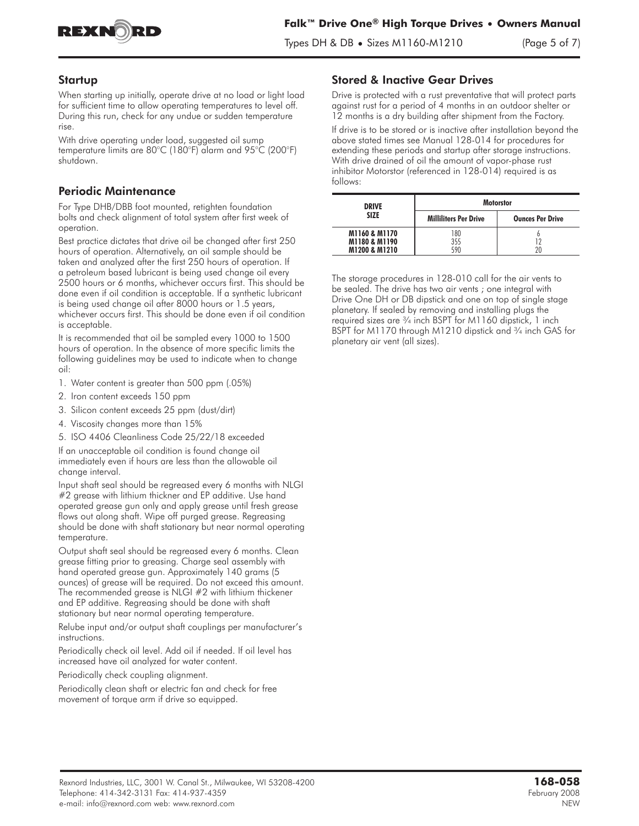

#### Startup

When starting up initially, operate drive at no load or light load for sufficient time to allow operating temperatures to level off. During this run, check for any undue or sudden temperature rise.

With drive operating under load, suggested oil sump temperature limits are 80°C (180°F) alarm and 95°C (200°F) shutdown.

## Periodic Maintenance

For Type DHB/DBB foot mounted, retighten foundation bolts and check alignment of total system after first week of operation.

Best practice dictates that drive oil be changed after first 250 hours of operation. Alternatively, an oil sample should be taken and analyzed after the first 250 hours of operation. If a petroleum based lubricant is being used change oil every 2500 hours or 6 months, whichever occurs first. This should be done even if oil condition is acceptable. If a synthetic lubricant is being used change oil after 8000 hours or 1.5 years, whichever occurs first. This should be done even if oil condition is acceptable.

It is recommended that oil be sampled every 1000 to 1500 hours of operation. In the absence of more specific limits the following guidelines may be used to indicate when to change oil:

- 1. Water content is greater than 500 ppm (.05%)
- 2. Iron content exceeds 150 ppm
- 3. Silicon content exceeds 25 ppm (dust/dirt)
- 4. Viscosity changes more than 15%
- 5. ISO 4406 Cleanliness Code 25/22/18 exceeded

If an unacceptable oil condition is found change oil immediately even if hours are less than the allowable oil change interval.

Input shaft seal should be regreased every 6 months with NLGI #2 grease with lithium thickner and EP additive. Use hand operated grease gun only and apply grease until fresh grease flows out along shaft. Wipe off purged grease. Regreasing should be done with shaft stationary but near normal operating temperature.

Output shaft seal should be regreased every 6 months. Clean grease fitting prior to greasing. Charge seal assembly with hand operated grease gun. Approximately 140 grams (5 ounces) of grease will be required. Do not exceed this amount. The recommended grease is NLGI #2 with lithium thickener and EP additive. Regreasing should be done with shaft stationary but near normal operating temperature.

Relube input and/or output shaft couplings per manufacturer's instructions.

Periodically check oil level. Add oil if needed. If oil level has increased have oil analyzed for water content.

Periodically check coupling alignment.

Periodically clean shaft or electric fan and check for free movement of torque arm if drive so equipped.

## Stored & Inactive Gear Drives

Drive is protected with a rust preventative that will protect parts against rust for a period of 4 months in an outdoor shelter or 12 months is a dry building after shipment from the Factory.

If drive is to be stored or is inactive after installation beyond the above stated times see Manual 128-014 for procedures for extending these periods and startup after storage instructions. With drive drained of oil the amount of vapor-phase rust inhibitor Motorstor (referenced in 128-014) required is as follows:

| <b>DRIVE</b>             |                              | <b>Motorstor</b>        |
|--------------------------|------------------------------|-------------------------|
| <b>SIZE</b>              | <b>Milliliters Per Drive</b> | <b>Ounces Per Drive</b> |
| M1160 & M1170            | 180                          |                         |
| M1180 & M1190            | 355                          |                         |
| <b>M1200 &amp; M1210</b> | 590                          |                         |

The storage procedures in 128-010 call for the air vents to be sealed. The drive has two air vents ; one integral with Drive One DH or DB dipstick and one on top of single stage planetary. If sealed by removing and installing plugs the required sizes are ¾ inch BSPT for M1160 dipstick, 1 inch BSPT for M1170 through M1210 dipstick and 3/4 inch GAS for planetary air vent (all sizes).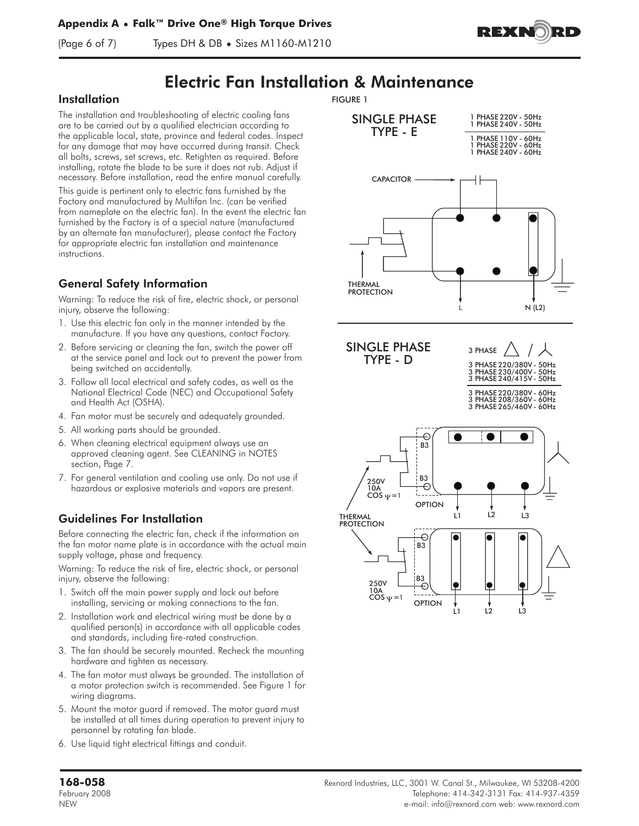(Page 6 of 7) Types DH & DB **•** Sizes M1160-M1210



# Electric Fan Installation & Maintenance

#### **Installation**

The installation and troubleshooting of electric cooling fans are to be carried out by a qualified electrician according to the applicable local, state, province and federal codes. Inspect for any damage that may have occurred during transit. Check all bolts, screws, set screws, etc. Retighten as required. Before installing, rotate the blade to be sure it does not rub. Adjust if necessary. Before installation, read the entire manual carefully.

This guide is pertinent only to electric fans furnished by the Factory and manufactured by Multifan Inc. (can be verified from nameplate on the electric fan). In the event the electric fan furnished by the Factory is of a special nature (manufactured by an alternate fan manufacturer), please contact the Factory for appropriate electric fan installation and maintenance instructions.

# General Safety Information

Warning: To reduce the risk of fire, electric shock, or personal injury, observe the following:

- 1. Use this electric fan only in the manner intended by the manufacture. If you have any questions, contact Factory.
- 2. Before servicing or cleaning the fan, switch the power off at the service panel and lock out to prevent the power from being switched on accidentally.
- 3. Follow all local electrical and safety codes, as well as the National Electrical Code (NEC) and Occupational Safety and Health Act (OSHA).
- 4. Fan motor must be securely and adequately grounded.
- 5. All working parts should be grounded.
- 6. When cleaning electrical equipment always use an approved cleaning agent. See CLEANING in NOTES section, Page 7.
- 7. For general ventilation and cooling use only. Do not use if hazardous or explosive materials and vapors are present.

# Guidelines For Installation

Before connecting the electric fan, check if the information on the fan motor name plate is in accordance with the actual main supply voltage, phase and frequency.

Warning: To reduce the risk of fire, electric shock, or personal injury, observe the following:

- 1. Switch off the main power supply and lock out before installing, servicing or making connections to the fan.
- 2. Installation work and electrical wiring must be done by a qualified person(s) in accordance with all applicable codes and standards, including fire-rated construction.
- 3. The fan should be securely mounted. Recheck the mounting hardware and tighten as necessary.
- 4. The fan motor must always be grounded. The installation of a motor protection switch is recommended. See Figure 1 for wiring diagrams.
- 5. Mount the motor guard if removed. The motor guard must be installed at all times during operation to prevent injury to personnel by rotating fan blade.
- 6. Use liquid tight electrical fittings and conduit.

FIGURE 1